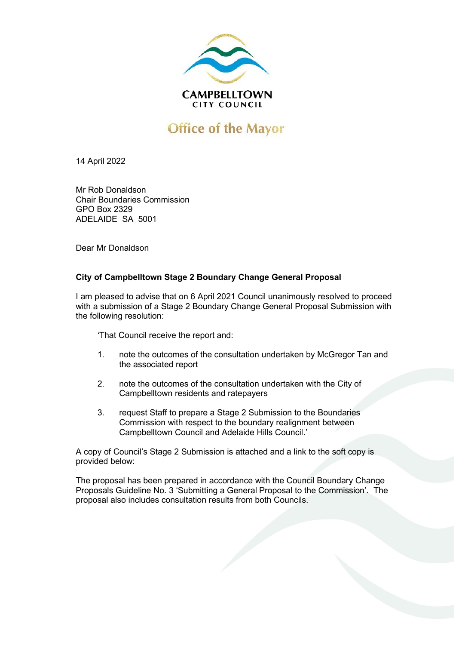

## **Office of the Mayor**

14 April 2022

Mr Rob Donaldson Chair Boundaries Commission GPO Box 2329 ADELAIDE SA 5001

Dear Mr Donaldson

## **City of Campbelltown Stage 2 Boundary Change General Proposal**

I am pleased to advise that on 6 April 2021 Council unanimously resolved to proceed with a submission of a Stage 2 Boundary Change General Proposal Submission with the following resolution:

'That Council receive the report and:

- 1. note the outcomes of the consultation undertaken by McGregor Tan and the associated report
- 2. note the outcomes of the consultation undertaken with the City of Campbelltown residents and ratepayers
- 3. request Staff to prepare a Stage 2 Submission to the Boundaries Commission with respect to the boundary realignment between Campbelltown Council and Adelaide Hills Council.'

A copy of Council's Stage 2 Submission is attached and a link to the soft copy is provided below:

The proposal has been prepared in accordance with the Council Boundary Change Proposals Guideline No. 3 'Submitting a General Proposal to the Commission'. The proposal also includes consultation results from both Councils.